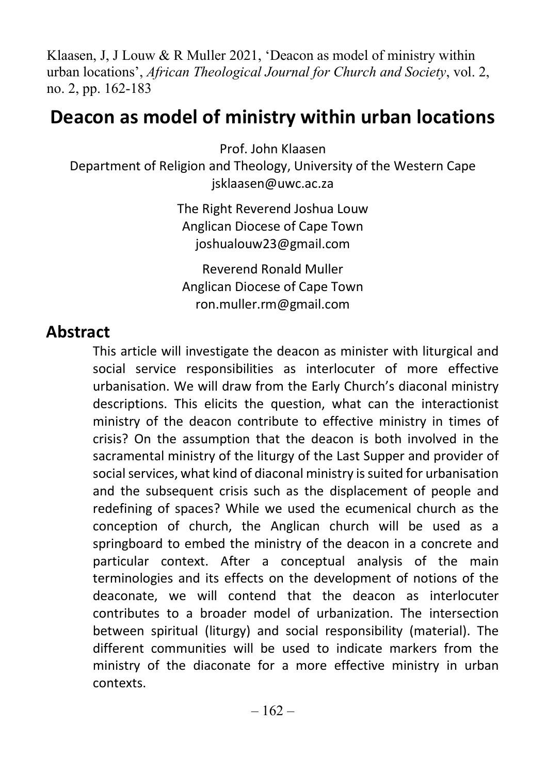Klaasen, J, J Louw & R Muller 2021, 'Deacon as model of ministry within urban locations', African Theological Journal for Church and Society, vol. 2, no. 2, pp. 162-183

# Deacon as model of ministry within urban locations

Prof. John Klaasen Department of Religion and Theology, University of the Western Cape jsklaasen@uwc.ac.za

> The Right Reverend Joshua Louw Anglican Diocese of Cape Town joshualouw23@gmail.com

Reverend Ronald Muller Anglican Diocese of Cape Town ron.muller.rm@gmail.com

#### Abstract

This article will investigate the deacon as minister with liturgical and social service responsibilities as interlocuter of more effective urbanisation. We will draw from the Early Church's diaconal ministry descriptions. This elicits the question, what can the interactionist ministry of the deacon contribute to effective ministry in times of crisis? On the assumption that the deacon is both involved in the sacramental ministry of the liturgy of the Last Supper and provider of social services, what kind of diaconal ministry is suited for urbanisation and the subsequent crisis such as the displacement of people and redefining of spaces? While we used the ecumenical church as the conception of church, the Anglican church will be used as a springboard to embed the ministry of the deacon in a concrete and particular context. After a conceptual analysis of the main terminologies and its effects on the development of notions of the deaconate, we will contend that the deacon as interlocuter contributes to a broader model of urbanization. The intersection between spiritual (liturgy) and social responsibility (material). The different communities will be used to indicate markers from the ministry of the diaconate for a more effective ministry in urban contexts.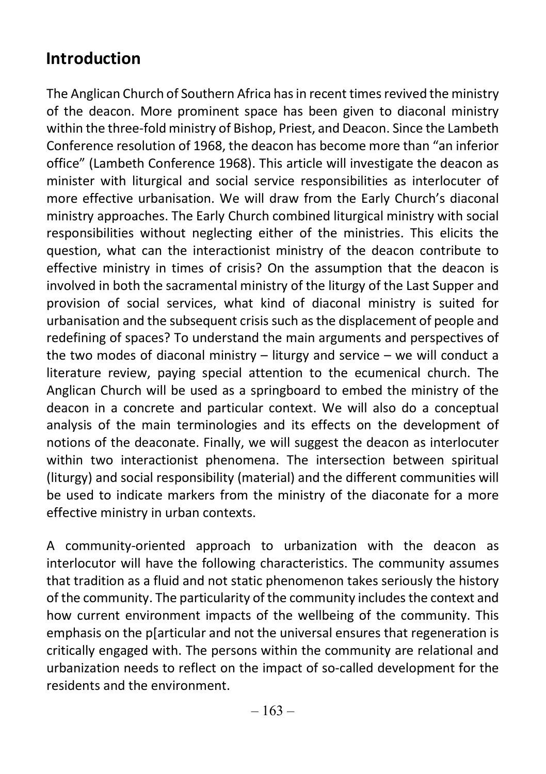### Introduction

The Anglican Church of Southern Africa has in recent times revived the ministry of the deacon. More prominent space has been given to diaconal ministry within the three-fold ministry of Bishop, Priest, and Deacon. Since the Lambeth Conference resolution of 1968, the deacon has become more than "an inferior office" (Lambeth Conference 1968). This article will investigate the deacon as minister with liturgical and social service responsibilities as interlocuter of more effective urbanisation. We will draw from the Early Church's diaconal ministry approaches. The Early Church combined liturgical ministry with social responsibilities without neglecting either of the ministries. This elicits the question, what can the interactionist ministry of the deacon contribute to effective ministry in times of crisis? On the assumption that the deacon is involved in both the sacramental ministry of the liturgy of the Last Supper and provision of social services, what kind of diaconal ministry is suited for urbanisation and the subsequent crisis such as the displacement of people and redefining of spaces? To understand the main arguments and perspectives of the two modes of diaconal ministry – liturgy and service – we will conduct a literature review, paying special attention to the ecumenical church. The Anglican Church will be used as a springboard to embed the ministry of the deacon in a concrete and particular context. We will also do a conceptual analysis of the main terminologies and its effects on the development of notions of the deaconate. Finally, we will suggest the deacon as interlocuter within two interactionist phenomena. The intersection between spiritual (liturgy) and social responsibility (material) and the different communities will be used to indicate markers from the ministry of the diaconate for a more effective ministry in urban contexts.

A community-oriented approach to urbanization with the deacon as interlocutor will have the following characteristics. The community assumes that tradition as a fluid and not static phenomenon takes seriously the history of the community. The particularity of the community includes the context and how current environment impacts of the wellbeing of the community. This emphasis on the p[articular and not the universal ensures that regeneration is critically engaged with. The persons within the community are relational and urbanization needs to reflect on the impact of so-called development for the residents and the environment.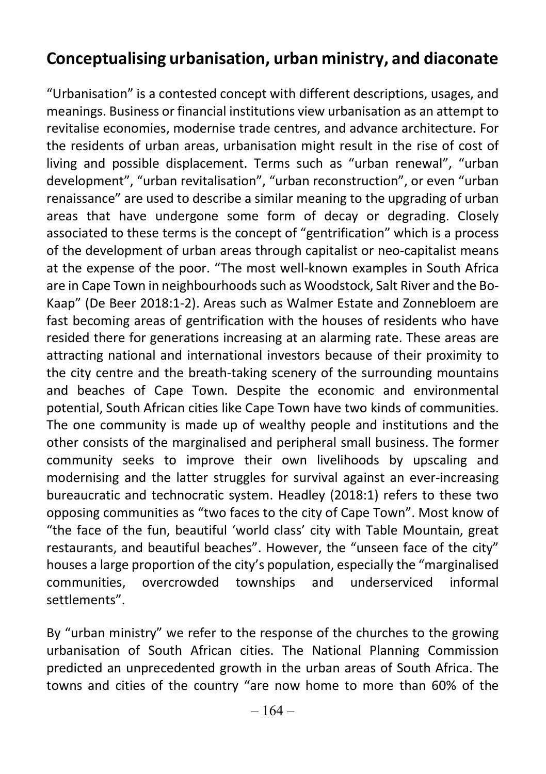#### Conceptualising urbanisation, urban ministry, and diaconate

"Urbanisation" is a contested concept with different descriptions, usages, and meanings. Business or financial institutions view urbanisation as an attempt to revitalise economies, modernise trade centres, and advance architecture. For the residents of urban areas, urbanisation might result in the rise of cost of living and possible displacement. Terms such as "urban renewal", "urban development", "urban revitalisation", "urban reconstruction", or even "urban renaissance" are used to describe a similar meaning to the upgrading of urban areas that have undergone some form of decay or degrading. Closely associated to these terms is the concept of "gentrification" which is a process of the development of urban areas through capitalist or neo-capitalist means at the expense of the poor. "The most well-known examples in South Africa are in Cape Town in neighbourhoods such as Woodstock, Salt River and the Bo-Kaap" (De Beer 2018:1-2). Areas such as Walmer Estate and Zonnebloem are fast becoming areas of gentrification with the houses of residents who have resided there for generations increasing at an alarming rate. These areas are attracting national and international investors because of their proximity to the city centre and the breath-taking scenery of the surrounding mountains and beaches of Cape Town. Despite the economic and environmental potential, South African cities like Cape Town have two kinds of communities. The one community is made up of wealthy people and institutions and the other consists of the marginalised and peripheral small business. The former community seeks to improve their own livelihoods by upscaling and modernising and the latter struggles for survival against an ever-increasing bureaucratic and technocratic system. Headley (2018:1) refers to these two opposing communities as "two faces to the city of Cape Town". Most know of "the face of the fun, beautiful 'world class' city with Table Mountain, great restaurants, and beautiful beaches". However, the "unseen face of the city" houses a large proportion of the city's population, especially the "marginalised communities, overcrowded townships and underserviced informal settlements".

By "urban ministry" we refer to the response of the churches to the growing urbanisation of South African cities. The National Planning Commission predicted an unprecedented growth in the urban areas of South Africa. The towns and cities of the country "are now home to more than 60% of the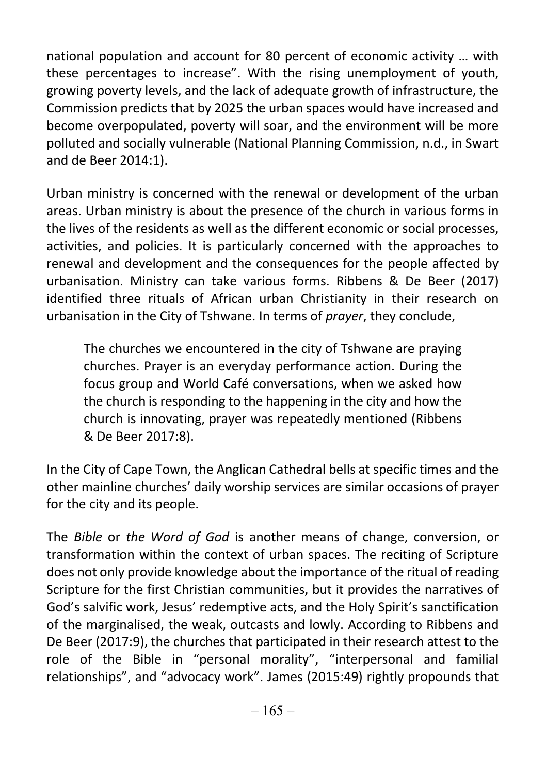national population and account for 80 percent of economic activity … with these percentages to increase". With the rising unemployment of youth, growing poverty levels, and the lack of adequate growth of infrastructure, the Commission predicts that by 2025 the urban spaces would have increased and become overpopulated, poverty will soar, and the environment will be more polluted and socially vulnerable (National Planning Commission, n.d., in Swart and de Beer 2014:1).

Urban ministry is concerned with the renewal or development of the urban areas. Urban ministry is about the presence of the church in various forms in the lives of the residents as well as the different economic or social processes, activities, and policies. It is particularly concerned with the approaches to renewal and development and the consequences for the people affected by urbanisation. Ministry can take various forms. Ribbens & De Beer (2017) identified three rituals of African urban Christianity in their research on urbanisation in the City of Tshwane. In terms of prayer, they conclude,

The churches we encountered in the city of Tshwane are praying churches. Prayer is an everyday performance action. During the focus group and World Café conversations, when we asked how the church is responding to the happening in the city and how the church is innovating, prayer was repeatedly mentioned (Ribbens & De Beer 2017:8).

In the City of Cape Town, the Anglican Cathedral bells at specific times and the other mainline churches' daily worship services are similar occasions of prayer for the city and its people.

The Bible or the Word of God is another means of change, conversion, or transformation within the context of urban spaces. The reciting of Scripture does not only provide knowledge about the importance of the ritual of reading Scripture for the first Christian communities, but it provides the narratives of God's salvific work, Jesus' redemptive acts, and the Holy Spirit's sanctification of the marginalised, the weak, outcasts and lowly. According to Ribbens and De Beer (2017:9), the churches that participated in their research attest to the role of the Bible in "personal morality", "interpersonal and familial relationships", and "advocacy work". James (2015:49) rightly propounds that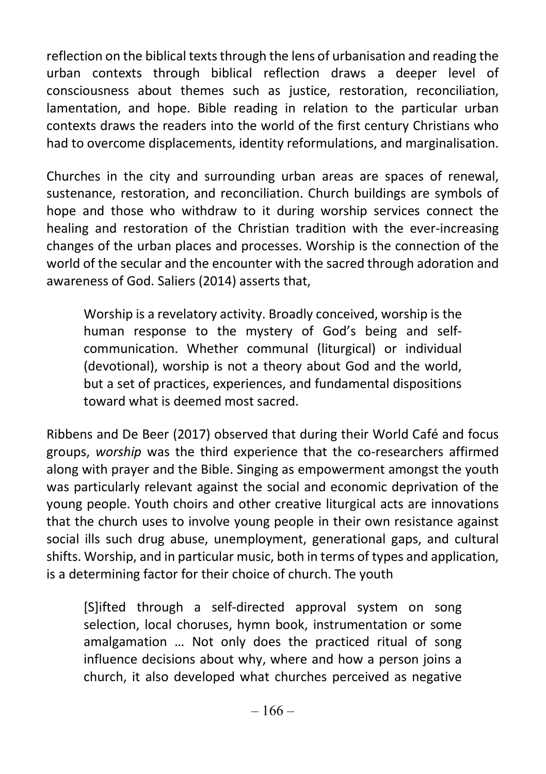reflection on the biblical texts through the lens of urbanisation and reading the urban contexts through biblical reflection draws a deeper level of consciousness about themes such as justice, restoration, reconciliation, lamentation, and hope. Bible reading in relation to the particular urban contexts draws the readers into the world of the first century Christians who had to overcome displacements, identity reformulations, and marginalisation.

Churches in the city and surrounding urban areas are spaces of renewal, sustenance, restoration, and reconciliation. Church buildings are symbols of hope and those who withdraw to it during worship services connect the healing and restoration of the Christian tradition with the ever-increasing changes of the urban places and processes. Worship is the connection of the world of the secular and the encounter with the sacred through adoration and awareness of God. Saliers (2014) asserts that,

Worship is a revelatory activity. Broadly conceived, worship is the human response to the mystery of God's being and selfcommunication. Whether communal (liturgical) or individual (devotional), worship is not a theory about God and the world, but a set of practices, experiences, and fundamental dispositions toward what is deemed most sacred.

Ribbens and De Beer (2017) observed that during their World Café and focus groups, worship was the third experience that the co-researchers affirmed along with prayer and the Bible. Singing as empowerment amongst the youth was particularly relevant against the social and economic deprivation of the young people. Youth choirs and other creative liturgical acts are innovations that the church uses to involve young people in their own resistance against social ills such drug abuse, unemployment, generational gaps, and cultural shifts. Worship, and in particular music, both in terms of types and application, is a determining factor for their choice of church. The youth

[S]ifted through a self-directed approval system on song selection, local choruses, hymn book, instrumentation or some amalgamation … Not only does the practiced ritual of song influence decisions about why, where and how a person joins a church, it also developed what churches perceived as negative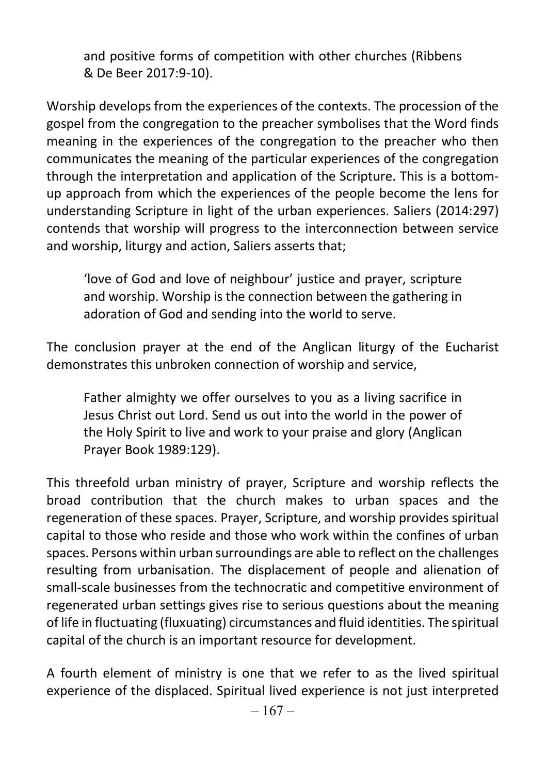and positive forms of competition with other churches (Ribbens & De Beer 2017:9-10).

Worship develops from the experiences of the contexts. The procession of the gospel from the congregation to the preacher symbolises that the Word finds meaning in the experiences of the congregation to the preacher who then communicates the meaning of the particular experiences of the congregation through the interpretation and application of the Scripture. This is a bottomup approach from which the experiences of the people become the lens for understanding Scripture in light of the urban experiences. Saliers (2014:297) contends that worship will progress to the interconnection between service and worship, liturgy and action, Saliers asserts that;

'love of God and love of neighbour' justice and prayer, scripture and worship. Worship is the connection between the gathering in adoration of God and sending into the world to serve.

The conclusion prayer at the end of the Anglican liturgy of the Eucharist demonstrates this unbroken connection of worship and service,

Father almighty we offer ourselves to you as a living sacrifice in Jesus Christ out Lord. Send us out into the world in the power of the Holy Spirit to live and work to your praise and glory (Anglican Prayer Book 1989:129).

This threefold urban ministry of prayer, Scripture and worship reflects the broad contribution that the church makes to urban spaces and the regeneration of these spaces. Prayer, Scripture, and worship provides spiritual capital to those who reside and those who work within the confines of urban spaces. Persons within urban surroundings are able to reflect on the challenges resulting from urbanisation. The displacement of people and alienation of small-scale businesses from the technocratic and competitive environment of regenerated urban settings gives rise to serious questions about the meaning of life in fluctuating (fluxuating) circumstances and fluid identities. The spiritual capital of the church is an important resource for development.

A fourth element of ministry is one that we refer to as the lived spiritual experience of the displaced. Spiritual lived experience is not just interpreted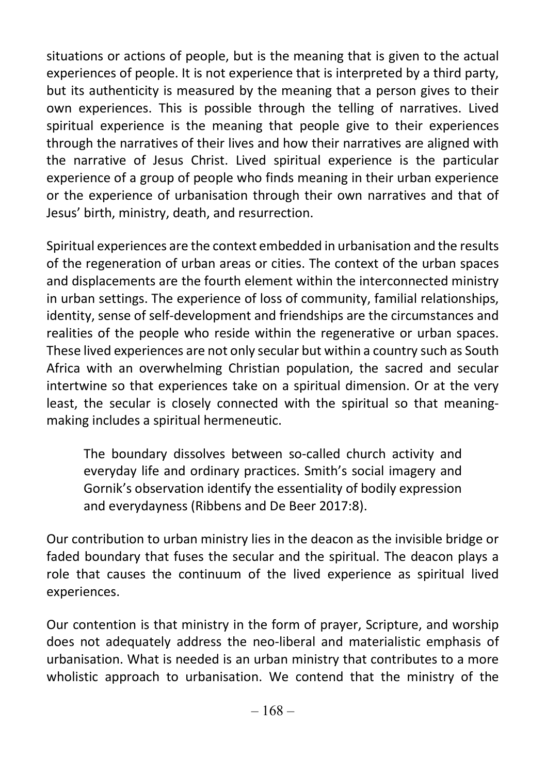situations or actions of people, but is the meaning that is given to the actual experiences of people. It is not experience that is interpreted by a third party, but its authenticity is measured by the meaning that a person gives to their own experiences. This is possible through the telling of narratives. Lived spiritual experience is the meaning that people give to their experiences through the narratives of their lives and how their narratives are aligned with the narrative of Jesus Christ. Lived spiritual experience is the particular experience of a group of people who finds meaning in their urban experience or the experience of urbanisation through their own narratives and that of Jesus' birth, ministry, death, and resurrection.

Spiritual experiences are the context embedded in urbanisation and the results of the regeneration of urban areas or cities. The context of the urban spaces and displacements are the fourth element within the interconnected ministry in urban settings. The experience of loss of community, familial relationships, identity, sense of self-development and friendships are the circumstances and realities of the people who reside within the regenerative or urban spaces. These lived experiences are not only secular but within a country such as South Africa with an overwhelming Christian population, the sacred and secular intertwine so that experiences take on a spiritual dimension. Or at the very least, the secular is closely connected with the spiritual so that meaningmaking includes a spiritual hermeneutic.

The boundary dissolves between so-called church activity and everyday life and ordinary practices. Smith's social imagery and Gornik's observation identify the essentiality of bodily expression and everydayness (Ribbens and De Beer 2017:8).

Our contribution to urban ministry lies in the deacon as the invisible bridge or faded boundary that fuses the secular and the spiritual. The deacon plays a role that causes the continuum of the lived experience as spiritual lived experiences.

Our contention is that ministry in the form of prayer, Scripture, and worship does not adequately address the neo-liberal and materialistic emphasis of urbanisation. What is needed is an urban ministry that contributes to a more wholistic approach to urbanisation. We contend that the ministry of the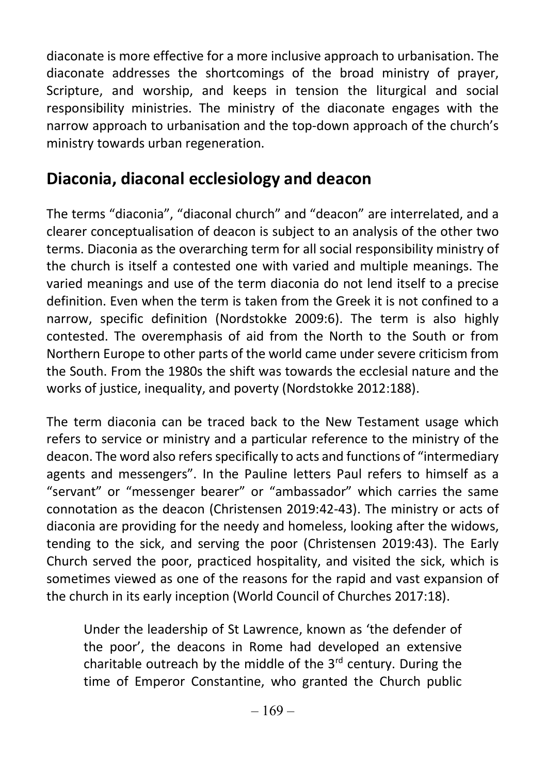diaconate is more effective for a more inclusive approach to urbanisation. The diaconate addresses the shortcomings of the broad ministry of prayer, Scripture, and worship, and keeps in tension the liturgical and social responsibility ministries. The ministry of the diaconate engages with the narrow approach to urbanisation and the top-down approach of the church's ministry towards urban regeneration.

#### Diaconia, diaconal ecclesiology and deacon

The terms "diaconia", "diaconal church" and "deacon" are interrelated, and a clearer conceptualisation of deacon is subject to an analysis of the other two terms. Diaconia as the overarching term for all social responsibility ministry of the church is itself a contested one with varied and multiple meanings. The varied meanings and use of the term diaconia do not lend itself to a precise definition. Even when the term is taken from the Greek it is not confined to a narrow, specific definition (Nordstokke 2009:6). The term is also highly contested. The overemphasis of aid from the North to the South or from Northern Europe to other parts of the world came under severe criticism from the South. From the 1980s the shift was towards the ecclesial nature and the works of justice, inequality, and poverty (Nordstokke 2012:188).

The term diaconia can be traced back to the New Testament usage which refers to service or ministry and a particular reference to the ministry of the deacon. The word also refers specifically to acts and functions of "intermediary agents and messengers". In the Pauline letters Paul refers to himself as a "servant" or "messenger bearer" or "ambassador" which carries the same connotation as the deacon (Christensen 2019:42-43). The ministry or acts of diaconia are providing for the needy and homeless, looking after the widows, tending to the sick, and serving the poor (Christensen 2019:43). The Early Church served the poor, practiced hospitality, and visited the sick, which is sometimes viewed as one of the reasons for the rapid and vast expansion of the church in its early inception (World Council of Churches 2017:18).

Under the leadership of St Lawrence, known as 'the defender of the poor', the deacons in Rome had developed an extensive charitable outreach by the middle of the  $3<sup>rd</sup>$  century. During the time of Emperor Constantine, who granted the Church public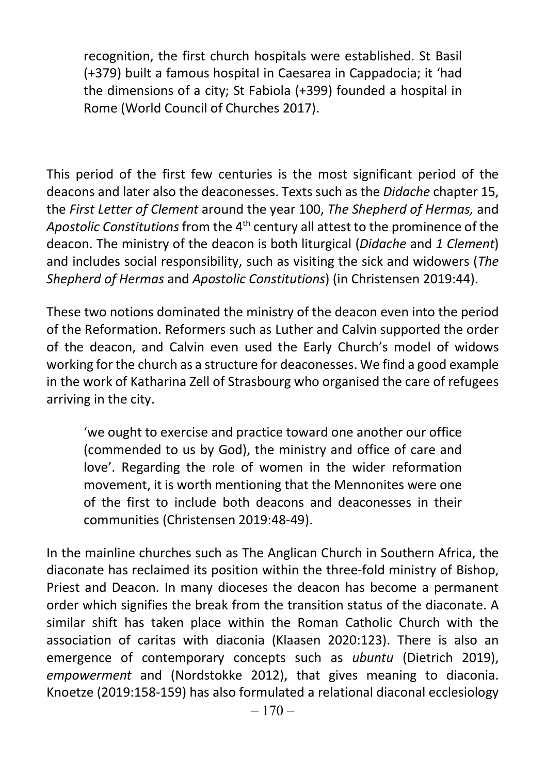recognition, the first church hospitals were established. St Basil (+379) built a famous hospital in Caesarea in Cappadocia; it 'had the dimensions of a city; St Fabiola (+399) founded a hospital in Rome (World Council of Churches 2017).

This period of the first few centuries is the most significant period of the deacons and later also the deaconesses. Texts such as the Didache chapter 15, the First Letter of Clement around the year 100, The Shepherd of Hermas, and Apostolic Constitutions from the 4<sup>th</sup> century all attest to the prominence of the deacon. The ministry of the deacon is both liturgical (Didache and 1 Clement) and includes social responsibility, such as visiting the sick and widowers (The Shepherd of Hermas and Apostolic Constitutions) (in Christensen 2019:44).

These two notions dominated the ministry of the deacon even into the period of the Reformation. Reformers such as Luther and Calvin supported the order of the deacon, and Calvin even used the Early Church's model of widows working for the church as a structure for deaconesses. We find a good example in the work of Katharina Zell of Strasbourg who organised the care of refugees arriving in the city.

'we ought to exercise and practice toward one another our office (commended to us by God), the ministry and office of care and love'. Regarding the role of women in the wider reformation movement, it is worth mentioning that the Mennonites were one of the first to include both deacons and deaconesses in their communities (Christensen 2019:48-49).

In the mainline churches such as The Anglican Church in Southern Africa, the diaconate has reclaimed its position within the three-fold ministry of Bishop, Priest and Deacon. In many dioceses the deacon has become a permanent order which signifies the break from the transition status of the diaconate. A similar shift has taken place within the Roman Catholic Church with the association of caritas with diaconia (Klaasen 2020:123). There is also an emergence of contemporary concepts such as ubuntu (Dietrich 2019), empowerment and (Nordstokke 2012), that gives meaning to diaconia. Knoetze (2019:158-159) has also formulated a relational diaconal ecclesiology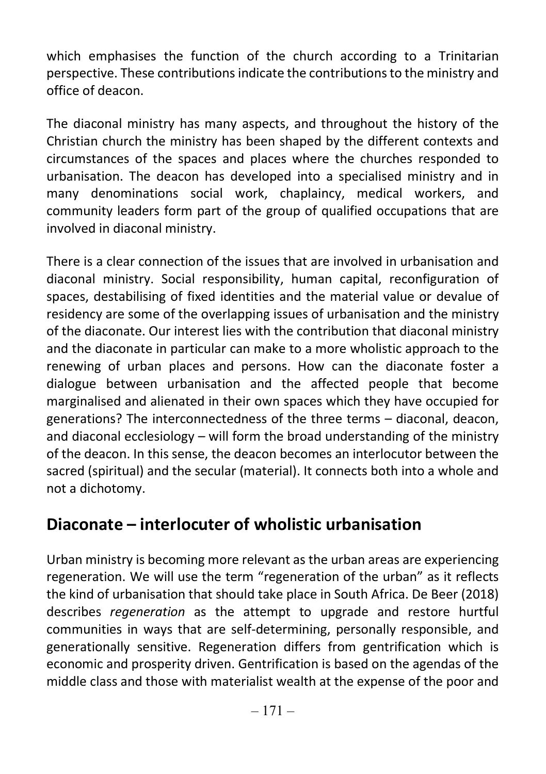which emphasises the function of the church according to a Trinitarian perspective. These contributions indicate the contributions to the ministry and office of deacon.

The diaconal ministry has many aspects, and throughout the history of the Christian church the ministry has been shaped by the different contexts and circumstances of the spaces and places where the churches responded to urbanisation. The deacon has developed into a specialised ministry and in many denominations social work, chaplaincy, medical workers, and community leaders form part of the group of qualified occupations that are involved in diaconal ministry.

There is a clear connection of the issues that are involved in urbanisation and diaconal ministry. Social responsibility, human capital, reconfiguration of spaces, destabilising of fixed identities and the material value or devalue of residency are some of the overlapping issues of urbanisation and the ministry of the diaconate. Our interest lies with the contribution that diaconal ministry and the diaconate in particular can make to a more wholistic approach to the renewing of urban places and persons. How can the diaconate foster a dialogue between urbanisation and the affected people that become marginalised and alienated in their own spaces which they have occupied for generations? The interconnectedness of the three terms – diaconal, deacon, and diaconal ecclesiology – will form the broad understanding of the ministry of the deacon. In this sense, the deacon becomes an interlocutor between the sacred (spiritual) and the secular (material). It connects both into a whole and not a dichotomy.

#### Diaconate – interlocuter of wholistic urbanisation

Urban ministry is becoming more relevant as the urban areas are experiencing regeneration. We will use the term "regeneration of the urban" as it reflects the kind of urbanisation that should take place in South Africa. De Beer (2018) describes regeneration as the attempt to upgrade and restore hurtful communities in ways that are self-determining, personally responsible, and generationally sensitive. Regeneration differs from gentrification which is economic and prosperity driven. Gentrification is based on the agendas of the middle class and those with materialist wealth at the expense of the poor and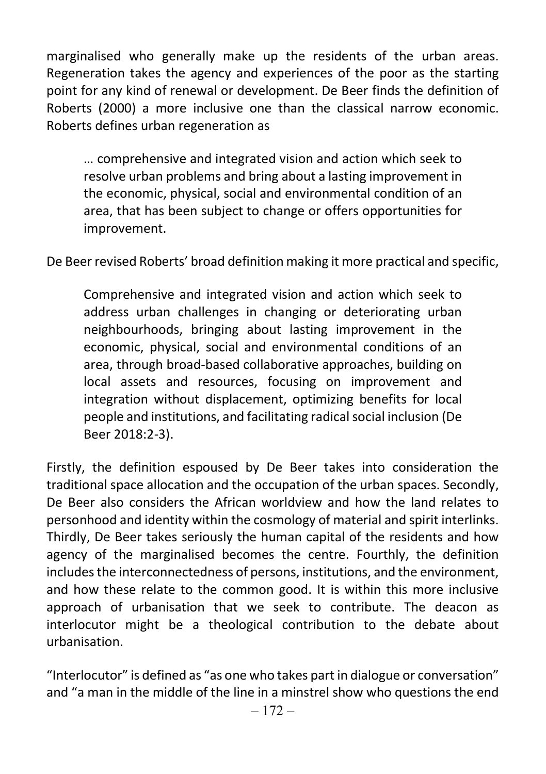marginalised who generally make up the residents of the urban areas. Regeneration takes the agency and experiences of the poor as the starting point for any kind of renewal or development. De Beer finds the definition of Roberts (2000) a more inclusive one than the classical narrow economic. Roberts defines urban regeneration as

… comprehensive and integrated vision and action which seek to resolve urban problems and bring about a lasting improvement in the economic, physical, social and environmental condition of an area, that has been subject to change or offers opportunities for improvement.

De Beer revised Roberts' broad definition making it more practical and specific,

Comprehensive and integrated vision and action which seek to address urban challenges in changing or deteriorating urban neighbourhoods, bringing about lasting improvement in the economic, physical, social and environmental conditions of an area, through broad-based collaborative approaches, building on local assets and resources, focusing on improvement and integration without displacement, optimizing benefits for local people and institutions, and facilitating radical social inclusion (De Beer 2018:2-3).

Firstly, the definition espoused by De Beer takes into consideration the traditional space allocation and the occupation of the urban spaces. Secondly, De Beer also considers the African worldview and how the land relates to personhood and identity within the cosmology of material and spirit interlinks. Thirdly, De Beer takes seriously the human capital of the residents and how agency of the marginalised becomes the centre. Fourthly, the definition includes the interconnectedness of persons, institutions, and the environment, and how these relate to the common good. It is within this more inclusive approach of urbanisation that we seek to contribute. The deacon as interlocutor might be a theological contribution to the debate about urbanisation.

"Interlocutor" is defined as "as one who takes part in dialogue or conversation" and "a man in the middle of the line in a minstrel show who questions the end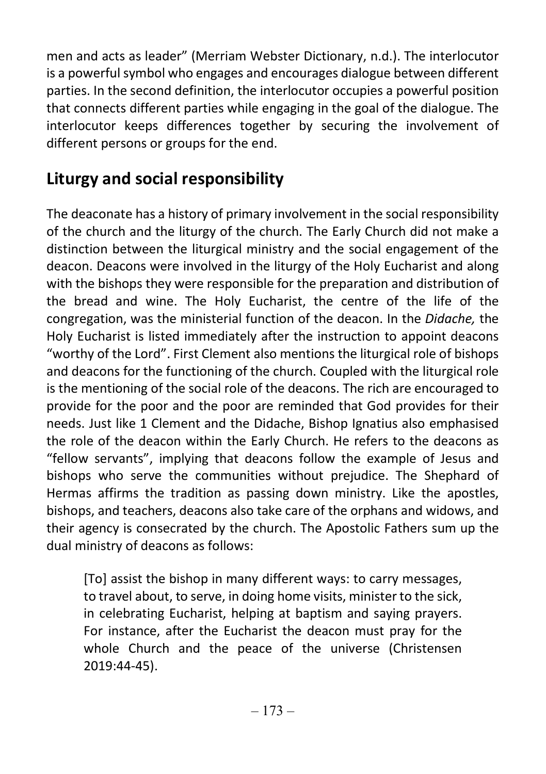men and acts as leader" (Merriam Webster Dictionary, n.d.). The interlocutor is a powerful symbol who engages and encourages dialogue between different parties. In the second definition, the interlocutor occupies a powerful position that connects different parties while engaging in the goal of the dialogue. The interlocutor keeps differences together by securing the involvement of different persons or groups for the end.

## Liturgy and social responsibility

The deaconate has a history of primary involvement in the social responsibility of the church and the liturgy of the church. The Early Church did not make a distinction between the liturgical ministry and the social engagement of the deacon. Deacons were involved in the liturgy of the Holy Eucharist and along with the bishops they were responsible for the preparation and distribution of the bread and wine. The Holy Eucharist, the centre of the life of the congregation, was the ministerial function of the deacon. In the Didache, the Holy Eucharist is listed immediately after the instruction to appoint deacons "worthy of the Lord". First Clement also mentions the liturgical role of bishops and deacons for the functioning of the church. Coupled with the liturgical role is the mentioning of the social role of the deacons. The rich are encouraged to provide for the poor and the poor are reminded that God provides for their needs. Just like 1 Clement and the Didache, Bishop Ignatius also emphasised the role of the deacon within the Early Church. He refers to the deacons as "fellow servants", implying that deacons follow the example of Jesus and bishops who serve the communities without prejudice. The Shephard of Hermas affirms the tradition as passing down ministry. Like the apostles, bishops, and teachers, deacons also take care of the orphans and widows, and their agency is consecrated by the church. The Apostolic Fathers sum up the dual ministry of deacons as follows:

[To] assist the bishop in many different ways: to carry messages, to travel about, to serve, in doing home visits, minister to the sick, in celebrating Eucharist, helping at baptism and saying prayers. For instance, after the Eucharist the deacon must pray for the whole Church and the peace of the universe (Christensen 2019:44-45).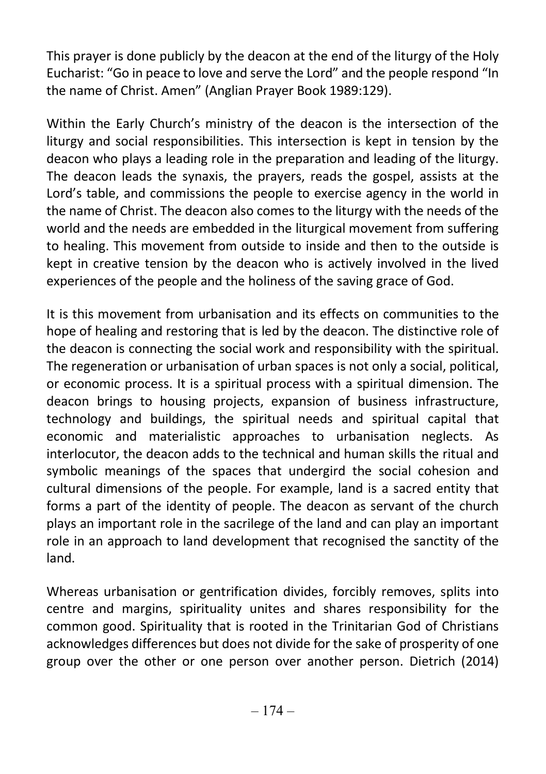This prayer is done publicly by the deacon at the end of the liturgy of the Holy Eucharist: "Go in peace to love and serve the Lord" and the people respond "In the name of Christ. Amen" (Anglian Prayer Book 1989:129).

Within the Early Church's ministry of the deacon is the intersection of the liturgy and social responsibilities. This intersection is kept in tension by the deacon who plays a leading role in the preparation and leading of the liturgy. The deacon leads the synaxis, the prayers, reads the gospel, assists at the Lord's table, and commissions the people to exercise agency in the world in the name of Christ. The deacon also comes to the liturgy with the needs of the world and the needs are embedded in the liturgical movement from suffering to healing. This movement from outside to inside and then to the outside is kept in creative tension by the deacon who is actively involved in the lived experiences of the people and the holiness of the saving grace of God.

It is this movement from urbanisation and its effects on communities to the hope of healing and restoring that is led by the deacon. The distinctive role of the deacon is connecting the social work and responsibility with the spiritual. The regeneration or urbanisation of urban spaces is not only a social, political, or economic process. It is a spiritual process with a spiritual dimension. The deacon brings to housing projects, expansion of business infrastructure, technology and buildings, the spiritual needs and spiritual capital that economic and materialistic approaches to urbanisation neglects. As interlocutor, the deacon adds to the technical and human skills the ritual and symbolic meanings of the spaces that undergird the social cohesion and cultural dimensions of the people. For example, land is a sacred entity that forms a part of the identity of people. The deacon as servant of the church plays an important role in the sacrilege of the land and can play an important role in an approach to land development that recognised the sanctity of the land.

Whereas urbanisation or gentrification divides, forcibly removes, splits into centre and margins, spirituality unites and shares responsibility for the common good. Spirituality that is rooted in the Trinitarian God of Christians acknowledges differences but does not divide for the sake of prosperity of one group over the other or one person over another person. Dietrich (2014)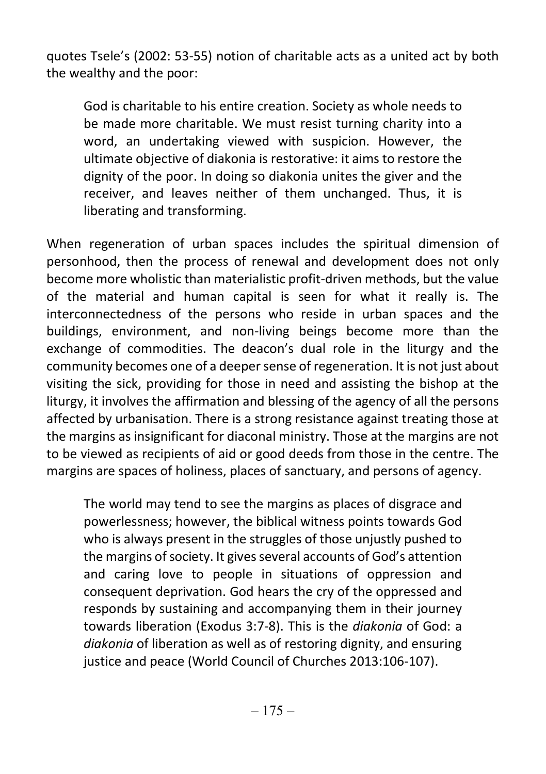quotes Tsele's (2002: 53-55) notion of charitable acts as a united act by both the wealthy and the poor:

God is charitable to his entire creation. Society as whole needs to be made more charitable. We must resist turning charity into a word, an undertaking viewed with suspicion. However, the ultimate objective of diakonia is restorative: it aims to restore the dignity of the poor. In doing so diakonia unites the giver and the receiver, and leaves neither of them unchanged. Thus, it is liberating and transforming.

When regeneration of urban spaces includes the spiritual dimension of personhood, then the process of renewal and development does not only become more wholistic than materialistic profit-driven methods, but the value of the material and human capital is seen for what it really is. The interconnectedness of the persons who reside in urban spaces and the buildings, environment, and non-living beings become more than the exchange of commodities. The deacon's dual role in the liturgy and the community becomes one of a deeper sense of regeneration. It is not just about visiting the sick, providing for those in need and assisting the bishop at the liturgy, it involves the affirmation and blessing of the agency of all the persons affected by urbanisation. There is a strong resistance against treating those at the margins as insignificant for diaconal ministry. Those at the margins are not to be viewed as recipients of aid or good deeds from those in the centre. The margins are spaces of holiness, places of sanctuary, and persons of agency.

The world may tend to see the margins as places of disgrace and powerlessness; however, the biblical witness points towards God who is always present in the struggles of those unjustly pushed to the margins of society. It gives several accounts of God's attention and caring love to people in situations of oppression and consequent deprivation. God hears the cry of the oppressed and responds by sustaining and accompanying them in their journey towards liberation (Exodus 3:7-8). This is the diakonia of God: a diakonia of liberation as well as of restoring dignity, and ensuring justice and peace (World Council of Churches 2013:106-107).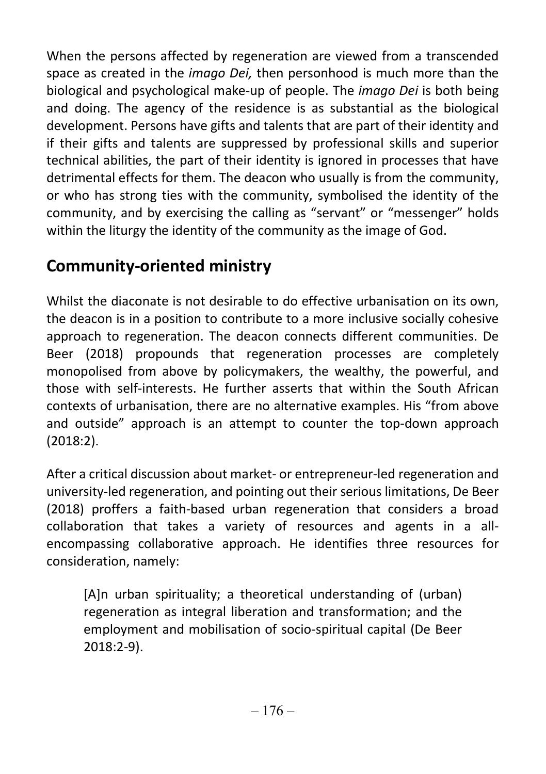When the persons affected by regeneration are viewed from a transcended space as created in the *imago Dei*, then personhood is much more than the biological and psychological make-up of people. The *imago Dei* is both being and doing. The agency of the residence is as substantial as the biological development. Persons have gifts and talents that are part of their identity and if their gifts and talents are suppressed by professional skills and superior technical abilities, the part of their identity is ignored in processes that have detrimental effects for them. The deacon who usually is from the community, or who has strong ties with the community, symbolised the identity of the community, and by exercising the calling as "servant" or "messenger" holds within the liturgy the identity of the community as the image of God.

## Community-oriented ministry

Whilst the diaconate is not desirable to do effective urbanisation on its own, the deacon is in a position to contribute to a more inclusive socially cohesive approach to regeneration. The deacon connects different communities. De Beer (2018) propounds that regeneration processes are completely monopolised from above by policymakers, the wealthy, the powerful, and those with self-interests. He further asserts that within the South African contexts of urbanisation, there are no alternative examples. His "from above and outside" approach is an attempt to counter the top-down approach (2018:2).

After a critical discussion about market- or entrepreneur-led regeneration and university-led regeneration, and pointing out their serious limitations, De Beer (2018) proffers a faith-based urban regeneration that considers a broad collaboration that takes a variety of resources and agents in a allencompassing collaborative approach. He identifies three resources for consideration, namely:

[A]n urban spirituality; a theoretical understanding of (urban) regeneration as integral liberation and transformation; and the employment and mobilisation of socio-spiritual capital (De Beer 2018:2-9).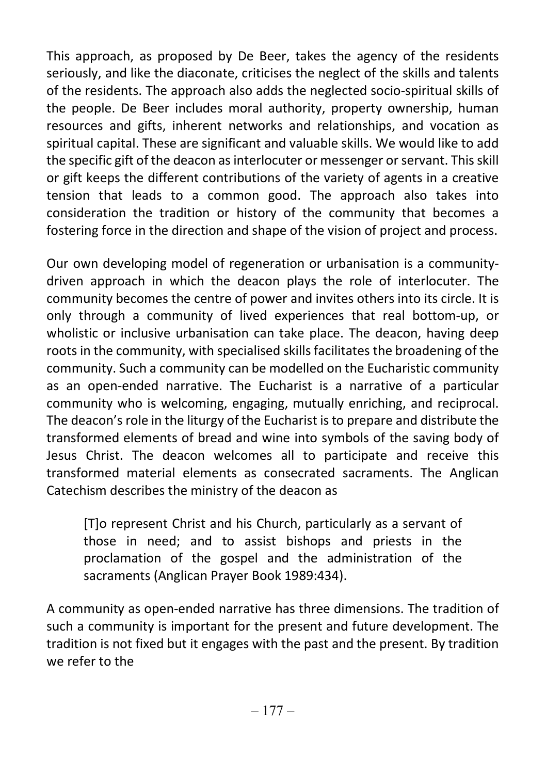This approach, as proposed by De Beer, takes the agency of the residents seriously, and like the diaconate, criticises the neglect of the skills and talents of the residents. The approach also adds the neglected socio-spiritual skills of the people. De Beer includes moral authority, property ownership, human resources and gifts, inherent networks and relationships, and vocation as spiritual capital. These are significant and valuable skills. We would like to add the specific gift of the deacon as interlocuter or messenger or servant. This skill or gift keeps the different contributions of the variety of agents in a creative tension that leads to a common good. The approach also takes into consideration the tradition or history of the community that becomes a fostering force in the direction and shape of the vision of project and process.

Our own developing model of regeneration or urbanisation is a communitydriven approach in which the deacon plays the role of interlocuter. The community becomes the centre of power and invites others into its circle. It is only through a community of lived experiences that real bottom-up, or wholistic or inclusive urbanisation can take place. The deacon, having deep roots in the community, with specialised skills facilitates the broadening of the community. Such a community can be modelled on the Eucharistic community as an open-ended narrative. The Eucharist is a narrative of a particular community who is welcoming, engaging, mutually enriching, and reciprocal. The deacon's role in the liturgy of the Eucharist is to prepare and distribute the transformed elements of bread and wine into symbols of the saving body of Jesus Christ. The deacon welcomes all to participate and receive this transformed material elements as consecrated sacraments. The Anglican Catechism describes the ministry of the deacon as

[T]o represent Christ and his Church, particularly as a servant of those in need; and to assist bishops and priests in the proclamation of the gospel and the administration of the sacraments (Anglican Prayer Book 1989:434).

A community as open-ended narrative has three dimensions. The tradition of such a community is important for the present and future development. The tradition is not fixed but it engages with the past and the present. By tradition we refer to the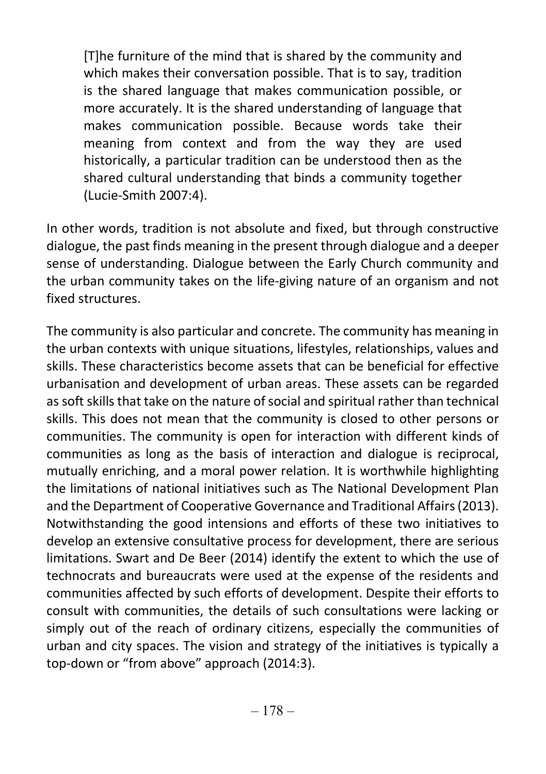[T]he furniture of the mind that is shared by the community and which makes their conversation possible. That is to say, tradition is the shared language that makes communication possible, or more accurately. It is the shared understanding of language that makes communication possible. Because words take their meaning from context and from the way they are used historically, a particular tradition can be understood then as the shared cultural understanding that binds a community together (Lucie-Smith 2007:4).

In other words, tradition is not absolute and fixed, but through constructive dialogue, the past finds meaning in the present through dialogue and a deeper sense of understanding. Dialogue between the Early Church community and the urban community takes on the life-giving nature of an organism and not fixed structures.

The community is also particular and concrete. The community has meaning in the urban contexts with unique situations, lifestyles, relationships, values and skills. These characteristics become assets that can be beneficial for effective urbanisation and development of urban areas. These assets can be regarded as soft skills that take on the nature of social and spiritual rather than technical skills. This does not mean that the community is closed to other persons or communities. The community is open for interaction with different kinds of communities as long as the basis of interaction and dialogue is reciprocal, mutually enriching, and a moral power relation. It is worthwhile highlighting the limitations of national initiatives such as The National Development Plan and the Department of Cooperative Governance and Traditional Affairs (2013). Notwithstanding the good intensions and efforts of these two initiatives to develop an extensive consultative process for development, there are serious limitations. Swart and De Beer (2014) identify the extent to which the use of technocrats and bureaucrats were used at the expense of the residents and communities affected by such efforts of development. Despite their efforts to consult with communities, the details of such consultations were lacking or simply out of the reach of ordinary citizens, especially the communities of urban and city spaces. The vision and strategy of the initiatives is typically a top-down or "from above" approach (2014:3).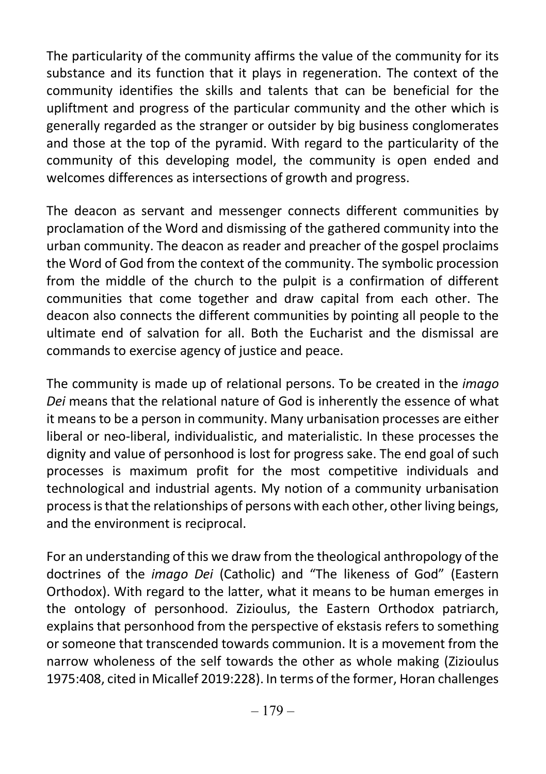The particularity of the community affirms the value of the community for its substance and its function that it plays in regeneration. The context of the community identifies the skills and talents that can be beneficial for the upliftment and progress of the particular community and the other which is generally regarded as the stranger or outsider by big business conglomerates and those at the top of the pyramid. With regard to the particularity of the community of this developing model, the community is open ended and welcomes differences as intersections of growth and progress.

The deacon as servant and messenger connects different communities by proclamation of the Word and dismissing of the gathered community into the urban community. The deacon as reader and preacher of the gospel proclaims the Word of God from the context of the community. The symbolic procession from the middle of the church to the pulpit is a confirmation of different communities that come together and draw capital from each other. The deacon also connects the different communities by pointing all people to the ultimate end of salvation for all. Both the Eucharist and the dismissal are commands to exercise agency of justice and peace.

The community is made up of relational persons. To be created in the *imago* Dei means that the relational nature of God is inherently the essence of what it means to be a person in community. Many urbanisation processes are either liberal or neo-liberal, individualistic, and materialistic. In these processes the dignity and value of personhood is lost for progress sake. The end goal of such processes is maximum profit for the most competitive individuals and technological and industrial agents. My notion of a community urbanisation process is that the relationships of persons with each other, other living beings, and the environment is reciprocal.

For an understanding of this we draw from the theological anthropology of the doctrines of the imago Dei (Catholic) and "The likeness of God" (Eastern Orthodox). With regard to the latter, what it means to be human emerges in the ontology of personhood. Zizioulus, the Eastern Orthodox patriarch, explains that personhood from the perspective of ekstasis refers to something or someone that transcended towards communion. It is a movement from the narrow wholeness of the self towards the other as whole making (Zizioulus 1975:408, cited in Micallef 2019:228). In terms of the former, Horan challenges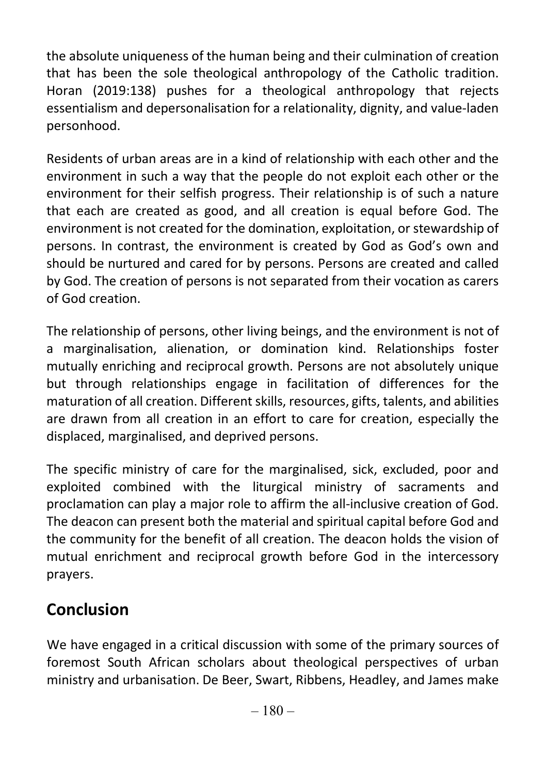the absolute uniqueness of the human being and their culmination of creation that has been the sole theological anthropology of the Catholic tradition. Horan (2019:138) pushes for a theological anthropology that rejects essentialism and depersonalisation for a relationality, dignity, and value-laden personhood.

Residents of urban areas are in a kind of relationship with each other and the environment in such a way that the people do not exploit each other or the environment for their selfish progress. Their relationship is of such a nature that each are created as good, and all creation is equal before God. The environment is not created for the domination, exploitation, or stewardship of persons. In contrast, the environment is created by God as God's own and should be nurtured and cared for by persons. Persons are created and called by God. The creation of persons is not separated from their vocation as carers of God creation.

The relationship of persons, other living beings, and the environment is not of a marginalisation, alienation, or domination kind. Relationships foster mutually enriching and reciprocal growth. Persons are not absolutely unique but through relationships engage in facilitation of differences for the maturation of all creation. Different skills, resources, gifts, talents, and abilities are drawn from all creation in an effort to care for creation, especially the displaced, marginalised, and deprived persons.

The specific ministry of care for the marginalised, sick, excluded, poor and exploited combined with the liturgical ministry of sacraments and proclamation can play a major role to affirm the all-inclusive creation of God. The deacon can present both the material and spiritual capital before God and the community for the benefit of all creation. The deacon holds the vision of mutual enrichment and reciprocal growth before God in the intercessory prayers.

## Conclusion

We have engaged in a critical discussion with some of the primary sources of foremost South African scholars about theological perspectives of urban ministry and urbanisation. De Beer, Swart, Ribbens, Headley, and James make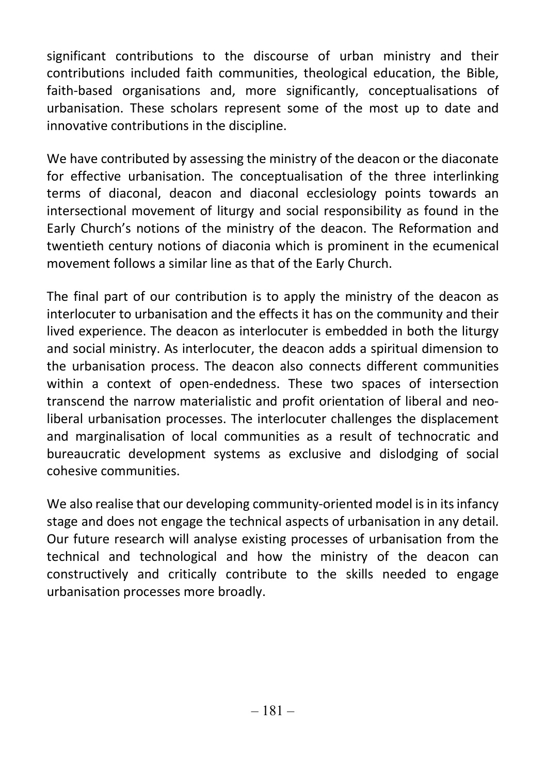significant contributions to the discourse of urban ministry and their contributions included faith communities, theological education, the Bible, faith-based organisations and, more significantly, conceptualisations of urbanisation. These scholars represent some of the most up to date and innovative contributions in the discipline.

We have contributed by assessing the ministry of the deacon or the diaconate for effective urbanisation. The conceptualisation of the three interlinking terms of diaconal, deacon and diaconal ecclesiology points towards an intersectional movement of liturgy and social responsibility as found in the Early Church's notions of the ministry of the deacon. The Reformation and twentieth century notions of diaconia which is prominent in the ecumenical movement follows a similar line as that of the Early Church.

The final part of our contribution is to apply the ministry of the deacon as interlocuter to urbanisation and the effects it has on the community and their lived experience. The deacon as interlocuter is embedded in both the liturgy and social ministry. As interlocuter, the deacon adds a spiritual dimension to the urbanisation process. The deacon also connects different communities within a context of open-endedness. These two spaces of intersection transcend the narrow materialistic and profit orientation of liberal and neoliberal urbanisation processes. The interlocuter challenges the displacement and marginalisation of local communities as a result of technocratic and bureaucratic development systems as exclusive and dislodging of social cohesive communities.

We also realise that our developing community-oriented model is in its infancy stage and does not engage the technical aspects of urbanisation in any detail. Our future research will analyse existing processes of urbanisation from the technical and technological and how the ministry of the deacon can constructively and critically contribute to the skills needed to engage urbanisation processes more broadly.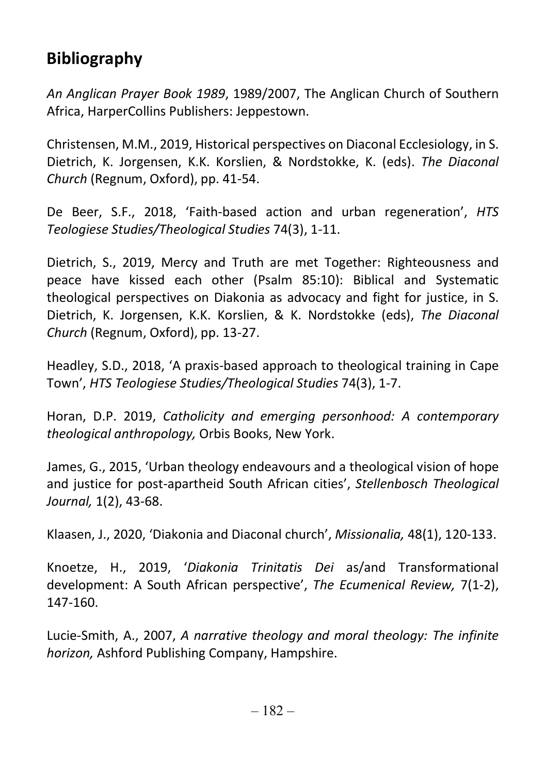# Bibliography

An Anglican Prayer Book 1989, 1989/2007, The Anglican Church of Southern Africa, HarperCollins Publishers: Jeppestown.

Christensen, M.M., 2019, Historical perspectives on Diaconal Ecclesiology, in S. Dietrich, K. Jorgensen, K.K. Korslien, & Nordstokke, K. (eds). The Diaconal Church (Regnum, Oxford), pp. 41-54.

De Beer, S.F., 2018, 'Faith-based action and urban regeneration', HTS Teologiese Studies/Theological Studies 74(3), 1-11.

Dietrich, S., 2019, Mercy and Truth are met Together: Righteousness and peace have kissed each other (Psalm 85:10): Biblical and Systematic theological perspectives on Diakonia as advocacy and fight for justice, in S. Dietrich, K. Jorgensen, K.K. Korslien, & K. Nordstokke (eds), The Diaconal Church (Regnum, Oxford), pp. 13-27.

Headley, S.D., 2018, 'A praxis-based approach to theological training in Cape Town', HTS Teologiese Studies/Theological Studies 74(3), 1-7.

Horan, D.P. 2019, Catholicity and emerging personhood: A contemporary theological anthropology, Orbis Books, New York.

James, G., 2015, 'Urban theology endeavours and a theological vision of hope and justice for post-apartheid South African cities', Stellenbosch Theological Journal, 1(2), 43-68.

Klaasen, J., 2020, 'Diakonia and Diaconal church', Missionalia, 48(1), 120-133.

Knoetze, H., 2019, 'Diakonia Trinitatis Dei as/and Transformational development: A South African perspective', The Ecumenical Review, 7(1-2), 147-160.

Lucie-Smith, A., 2007, A narrative theology and moral theology: The infinite horizon, Ashford Publishing Company, Hampshire.